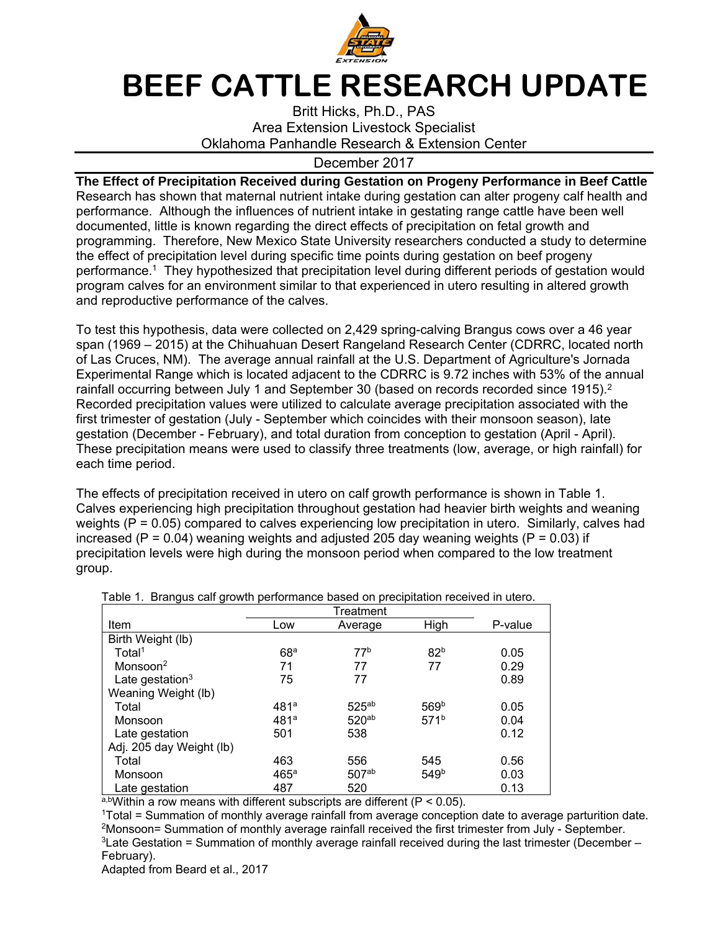

## **BEEF CATTLE RESEARCH UPDATE**

Britt Hicks, Ph.D., PAS Area Extension Livestock Specialist Oklahoma Panhandle Research & Extension Center

## December 2017

**The Effect of Precipitation Received during Gestation on Progeny Performance in Beef Cattle**  Research has shown that maternal nutrient intake during gestation can alter progeny calf health and performance. Although the influences of nutrient intake in gestating range cattle have been well documented, little is known regarding the direct effects of precipitation on fetal growth and programming. Therefore, New Mexico State University researchers conducted a study to determine the effect of precipitation level during specific time points during gestation on beef progeny performance.<sup>1</sup> They hypothesized that precipitation level during different periods of gestation would program calves for an environment similar to that experienced in utero resulting in altered growth and reproductive performance of the calves.

To test this hypothesis, data were collected on 2,429 spring-calving Brangus cows over a 46 year span (1969 – 2015) at the Chihuahuan Desert Rangeland Research Center (CDRRC, located north of Las Cruces, NM). The average annual rainfall at the U.S. Department of Agriculture's Jornada Experimental Range which is located adjacent to the CDRRC is 9.72 inches with 53% of the annual rainfall occurring between July 1 and September 30 (based on records recorded since 1915).<sup>2</sup> Recorded precipitation values were utilized to calculate average precipitation associated with the first trimester of gestation (July - September which coincides with their monsoon season), late gestation (December - February), and total duration from conception to gestation (April - April). These precipitation means were used to classify three treatments (low, average, or high rainfall) for each time period.

The effects of precipitation received in utero on calf growth performance is shown in Table 1. Calves experiencing high precipitation throughout gestation had heavier birth weights and weaning weights (P = 0.05) compared to calves experiencing low precipitation in utero. Similarly, calves had increased ( $P = 0.04$ ) weaning weights and adjusted 205 day weaning weights ( $P = 0.03$ ) if precipitation levels were high during the monsoon period when compared to the low treatment group.

| <br>.⊐                   |                  | Treatment         |                  |         |
|--------------------------|------------------|-------------------|------------------|---------|
| Item                     | Low              | Average           | High             | P-value |
| Birth Weight (lb)        |                  |                   |                  |         |
| Total <sup>1</sup>       | 68 <sup>a</sup>  | 77 <sup>b</sup>   | 82 <sup>b</sup>  | 0.05    |
| Monsoon $2$              | 71               | 77                | 77               | 0.29    |
| Late gestation $3$       | 75               | 77                |                  | 0.89    |
| Weaning Weight (lb)      |                  |                   |                  |         |
| Total                    | 481a             | $525^{ab}$        | 569 <sup>b</sup> | 0.05    |
| Monsoon                  | 481 <sup>a</sup> | 520 <sup>ab</sup> | 571 <sup>b</sup> | 0.04    |
| Late gestation           | 501              | 538               |                  | 0.12    |
| Adj. 205 day Weight (lb) |                  |                   |                  |         |
| Total                    | 463              | 556               | 545              | 0.56    |
| Monsoon                  | 465a             | 507 <sub>ab</sub> | 549 <sup>b</sup> | 0.03    |
| Late gestation           | 487              | 520               |                  | 0.13    |

Table 1. Brangus calf growth performance based on precipitation received in utero.

a,bWithin a row means with different subscripts are different ( $P < 0.05$ ).

1Total = Summation of monthly average rainfall from average conception date to average parturition date. 2Monsoon= Summation of monthly average rainfall received the first trimester from July - September.  $3$ Late Gestation = Summation of monthly average rainfall received during the last trimester (December – February).

Adapted from Beard et al., 2017